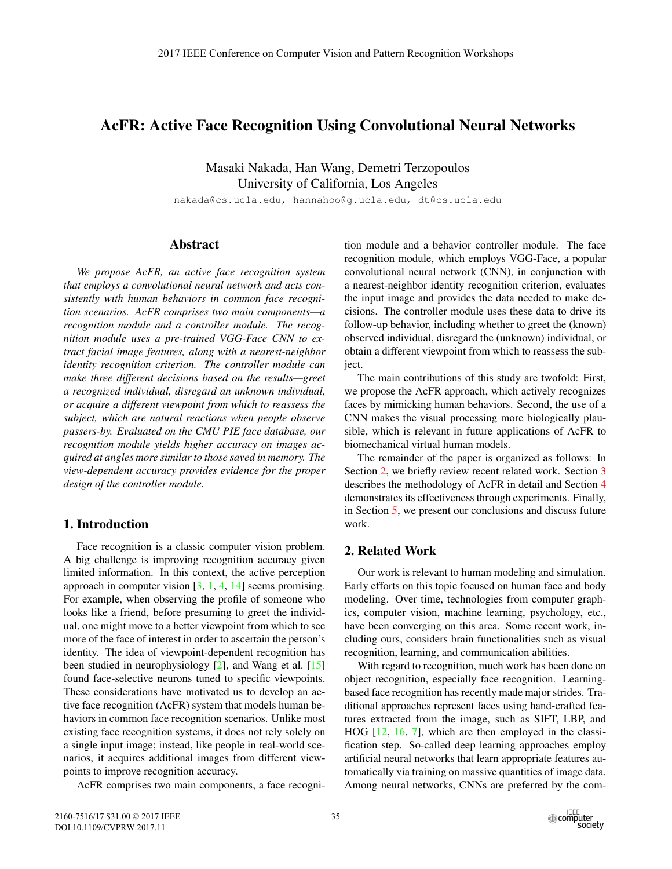# AcFR: Active Face Recognition Using Convolutional Neural Networks

Masaki Nakada, Han Wang, Demetri Terzopoulos University of California, Los Angeles

nakada@cs.ucla.edu, hannahoo@g.ucla.edu, dt@cs.ucla.edu

## Abstract

*We propose AcFR, an active face recognition system that employs a convolutional neural network and acts consistently with human behaviors in common face recognition scenarios. AcFR comprises two main components—a recognition module and a controller module. The recognition module uses a pre-trained VGG-Face CNN to extract facial image features, along with a nearest-neighbor identity recognition criterion. The controller module can make three different decisions based on the results—greet a recognized individual, disregard an unknown individual, or acquire a different viewpoint from which to reassess the subject, which are natural reactions when people observe passers-by. Evaluated on the CMU PIE face database, our recognition module yields higher accuracy on images acquired at angles more similar to those saved in memory. The view-dependent accuracy provides evidence for the proper design of the controller module.*

## 1. Introduction

Face recognition is a classic computer vision problem. A big challenge is improving recognition accuracy given limited information. In this context, the active perception approach in computer vision  $[3, 1, 4, 14]$  seems promising. For example, when observing the profile of someone who looks like a friend, before presuming to greet the individual, one might move to a better viewpoint from which to see more of the face of interest in order to ascertain the person's identity. The idea of viewpoint-dependent recognition has been studied in neurophysiology [2], and Wang et al. [15] found face-selective neurons tuned to specific viewpoints. These considerations have motivated us to develop an active face recognition (AcFR) system that models human behaviors in common face recognition scenarios. Unlike most existing face recognition systems, it does not rely solely on a single input image; instead, like people in real-world scenarios, it acquires additional images from different viewpoints to improve recognition accuracy.

AcFR comprises two main components, a face recogni-

tion module and a behavior controller module. The face recognition module, which employs VGG-Face, a popular convolutional neural network (CNN), in conjunction with a nearest-neighbor identity recognition criterion, evaluates the input image and provides the data needed to make decisions. The controller module uses these data to drive its follow-up behavior, including whether to greet the (known) observed individual, disregard the (unknown) individual, or obtain a different viewpoint from which to reassess the subject.

The main contributions of this study are twofold: First, we propose the AcFR approach, which actively recognizes faces by mimicking human behaviors. Second, the use of a CNN makes the visual processing more biologically plausible, which is relevant in future applications of AcFR to biomechanical virtual human models.

The remainder of the paper is organized as follows: In Section 2, we briefly review recent related work. Section 3 describes the methodology of AcFR in detail and Section 4 demonstrates its effectiveness through experiments. Finally, in Section 5, we present our conclusions and discuss future work.

# 2. Related Work

Our work is relevant to human modeling and simulation. Early efforts on this topic focused on human face and body modeling. Over time, technologies from computer graphics, computer vision, machine learning, psychology, etc., have been converging on this area. Some recent work, including ours, considers brain functionalities such as visual recognition, learning, and communication abilities.

With regard to recognition, much work has been done on object recognition, especially face recognition. Learningbased face recognition has recently made major strides. Traditional approaches represent faces using hand-crafted features extracted from the image, such as SIFT, LBP, and HOG [12, 16, 7], which are then employed in the classification step. So-called deep learning approaches employ artificial neural networks that learn appropriate features automatically via training on massive quantities of image data. Among neural networks, CNNs are preferred by the com-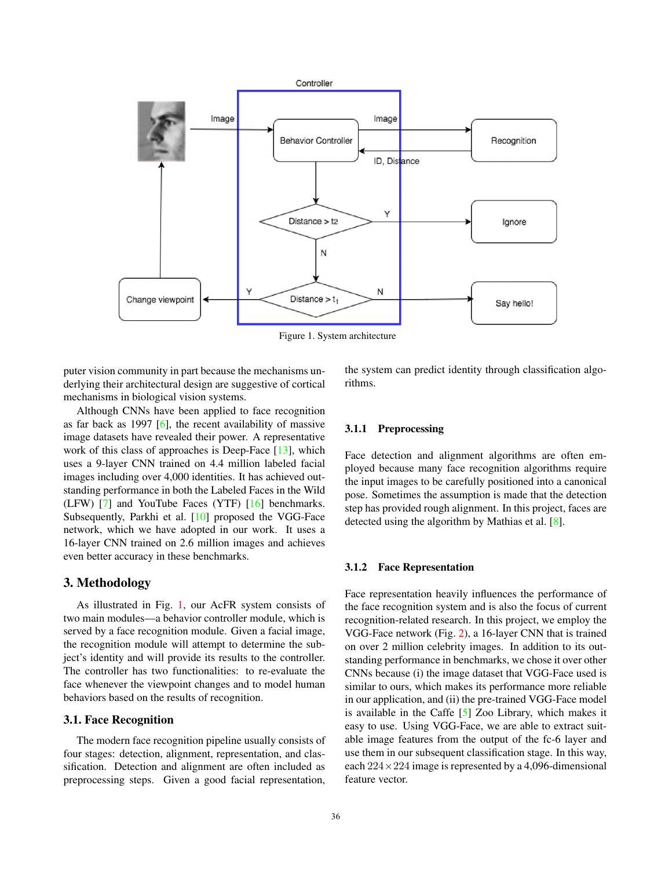

Figure 1. System architecture

puter vision community in part because the mechanisms underlying their architectural design are suggestive of cortical mechanisms in biological vision systems.

Although CNNs have been applied to face recognition as far back as 1997  $[6]$ , the recent availability of massive image datasets have revealed their power. A representative work of this class of approaches is Deep-Face [13], which uses a 9-layer CNN trained on 4.4 million labeled facial images including over 4,000 identities. It has achieved outstanding performance in both the Labeled Faces in the Wild (LFW) [7] and YouTube Faces (YTF) [16] benchmarks. Subsequently, Parkhi et al. [10] proposed the VGG-Face network, which we have adopted in our work. It uses a 16-layer CNN trained on 2.6 million images and achieves even better accuracy in these benchmarks.

## 3. Methodology

As illustrated in Fig. 1, our AcFR system consists of two main modules—a behavior controller module, which is served by a face recognition module. Given a facial image, the recognition module will attempt to determine the subject's identity and will provide its results to the controller. The controller has two functionalities: to re-evaluate the face whenever the viewpoint changes and to model human behaviors based on the results of recognition.

#### 3.1. Face Recognition

The modern face recognition pipeline usually consists of four stages: detection, alignment, representation, and classification. Detection and alignment are often included as preprocessing steps. Given a good facial representation, the system can predict identity through classification algorithms.

#### 3.1.1 Preprocessing

Face detection and alignment algorithms are often employed because many face recognition algorithms require the input images to be carefully positioned into a canonical pose. Sometimes the assumption is made that the detection step has provided rough alignment. In this project, faces are detected using the algorithm by Mathias et al. [8].

#### 3.1.2 Face Representation

Face representation heavily influences the performance of the face recognition system and is also the focus of current recognition-related research. In this project, we employ the VGG-Face network (Fig. 2), a 16-layer CNN that is trained on over 2 million celebrity images. In addition to its outstanding performance in benchmarks, we chose it over other CNNs because (i) the image dataset that VGG-Face used is similar to ours, which makes its performance more reliable in our application, and (ii) the pre-trained VGG-Face model is available in the Caffe  $[5]$  Zoo Library, which makes it easy to use. Using VGG-Face, we are able to extract suitable image features from the output of the fc-6 layer and use them in our subsequent classification stage. In this way, each  $224 \times 224$  image is represented by a 4,096-dimensional feature vector.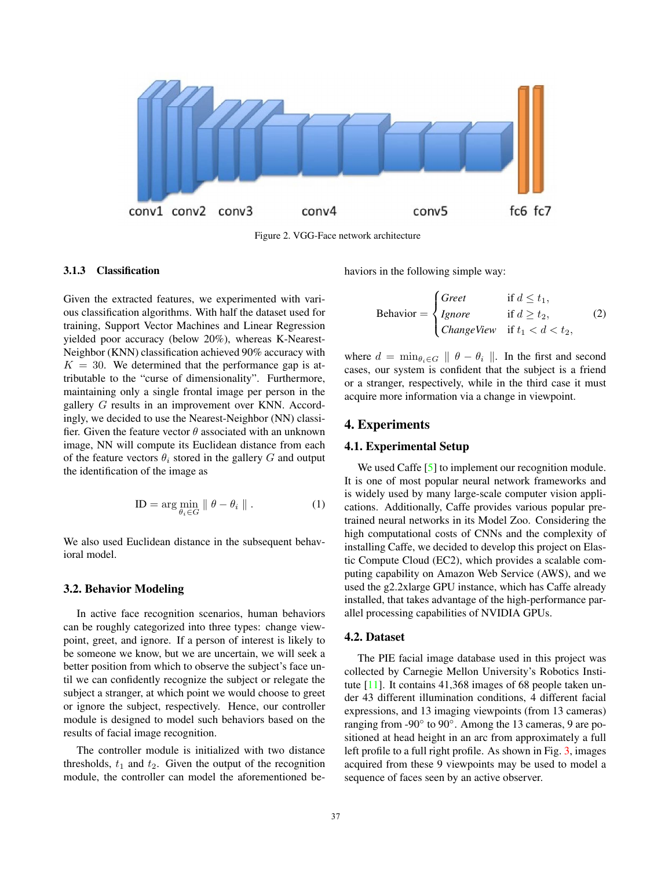

Figure 2. VGG-Face network architecture

## 3.1.3 Classification

Given the extracted features, we experimented with various classification algorithms. With half the dataset used for training, Support Vector Machines and Linear Regression yielded poor accuracy (below 20%), whereas K-Nearest-Neighbor (KNN) classification achieved 90% accuracy with  $K = 30$ . We determined that the performance gap is attributable to the "curse of dimensionality". Furthermore, maintaining only a single frontal image per person in the gallery G results in an improvement over KNN. Accordingly, we decided to use the Nearest-Neighbor (NN) classifier. Given the feature vector  $\theta$  associated with an unknown image, NN will compute its Euclidean distance from each of the feature vectors  $\theta_i$  stored in the gallery G and output the identification of the image as

$$
ID = \arg\min_{\theta_i \in G} \|\theta - \theta_i\|.
$$
 (1)

We also used Euclidean distance in the subsequent behavioral model.

#### 3.2. Behavior Modeling

In active face recognition scenarios, human behaviors can be roughly categorized into three types: change viewpoint, greet, and ignore. If a person of interest is likely to be someone we know, but we are uncertain, we will seek a better position from which to observe the subject's face until we can confidently recognize the subject or relegate the subject a stranger, at which point we would choose to greet or ignore the subject, respectively. Hence, our controller module is designed to model such behaviors based on the results of facial image recognition.

The controller module is initialized with two distance thresholds,  $t_1$  and  $t_2$ . Given the output of the recognition module, the controller can model the aforementioned behaviors in the following simple way:

$$
Behavior = \begin{cases} \text{Greet} & \text{if } d \leq t_1, \\ \text{Igmore} & \text{if } d \geq t_2, \\ \text{ChangeView} & \text{if } t_1 < d < t_2, \end{cases} \tag{2}
$$

where  $d = \min_{\theta_i \in G} || \theta - \theta_i ||$ . In the first and second cases, our system is confident that the subject is a friend or a stranger, respectively, while in the third case it must acquire more information via a change in viewpoint.

## 4. Experiments

## 4.1. Experimental Setup

We used Caffe [5] to implement our recognition module. It is one of most popular neural network frameworks and is widely used by many large-scale computer vision applications. Additionally, Caffe provides various popular pretrained neural networks in its Model Zoo. Considering the high computational costs of CNNs and the complexity of installing Caffe, we decided to develop this project on Elastic Compute Cloud (EC2), which provides a scalable computing capability on Amazon Web Service (AWS), and we used the g2.2xlarge GPU instance, which has Caffe already installed, that takes advantage of the high-performance parallel processing capabilities of NVIDIA GPUs.

## 4.2. Dataset

The PIE facial image database used in this project was collected by Carnegie Mellon University's Robotics Institute  $[11]$ . It contains 41,368 images of 68 people taken under 43 different illumination conditions, 4 different facial expressions, and 13 imaging viewpoints (from 13 cameras) ranging from -90◦ to 90◦. Among the 13 cameras, 9 are positioned at head height in an arc from approximately a full left profile to a full right profile. As shown in Fig. 3, images acquired from these 9 viewpoints may be used to model a sequence of faces seen by an active observer.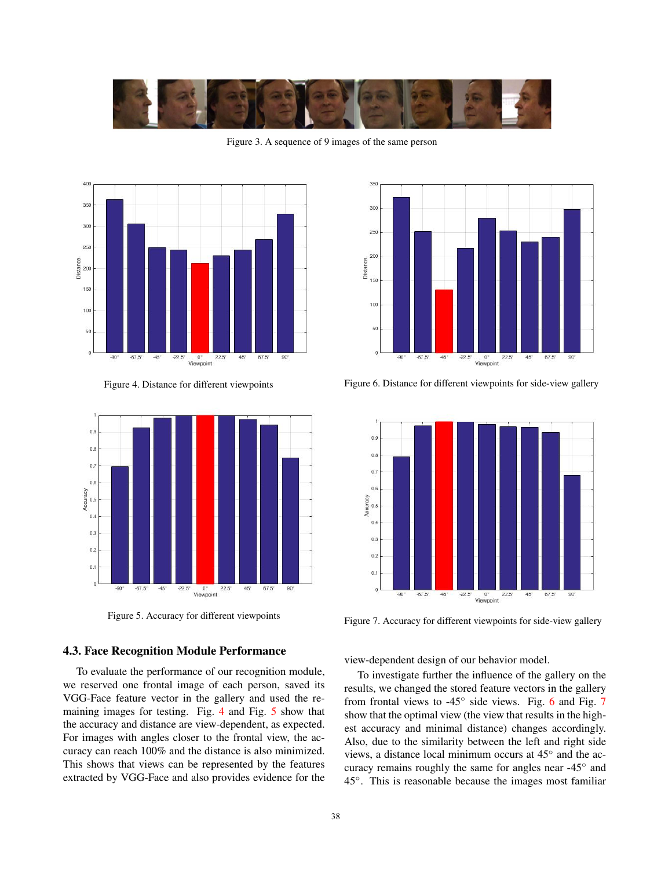

Figure 3. A sequence of 9 images of the same person



Figure 4. Distance for different viewpoints



Figure 5. Accuracy for different viewpoints

## 4.3. Face Recognition Module Performance

To evaluate the performance of our recognition module, we reserved one frontal image of each person, saved its VGG-Face feature vector in the gallery and used the remaining images for testing. Fig. 4 and Fig. 5 show that the accuracy and distance are view-dependent, as expected. For images with angles closer to the frontal view, the accuracy can reach 100% and the distance is also minimized. This shows that views can be represented by the features extracted by VGG-Face and also provides evidence for the



Figure 6. Distance for different viewpoints for side-view gallery



Figure 7. Accuracy for different viewpoints for side-view gallery

view-dependent design of our behavior model.

To investigate further the influence of the gallery on the results, we changed the stored feature vectors in the gallery from frontal views to -45 $\degree$  side views. Fig. 6 and Fig. 7 show that the optimal view (the view that results in the highest accuracy and minimal distance) changes accordingly. Also, due to the similarity between the left and right side views, a distance local minimum occurs at 45◦ and the accuracy remains roughly the same for angles near -45◦ and 45◦. This is reasonable because the images most familiar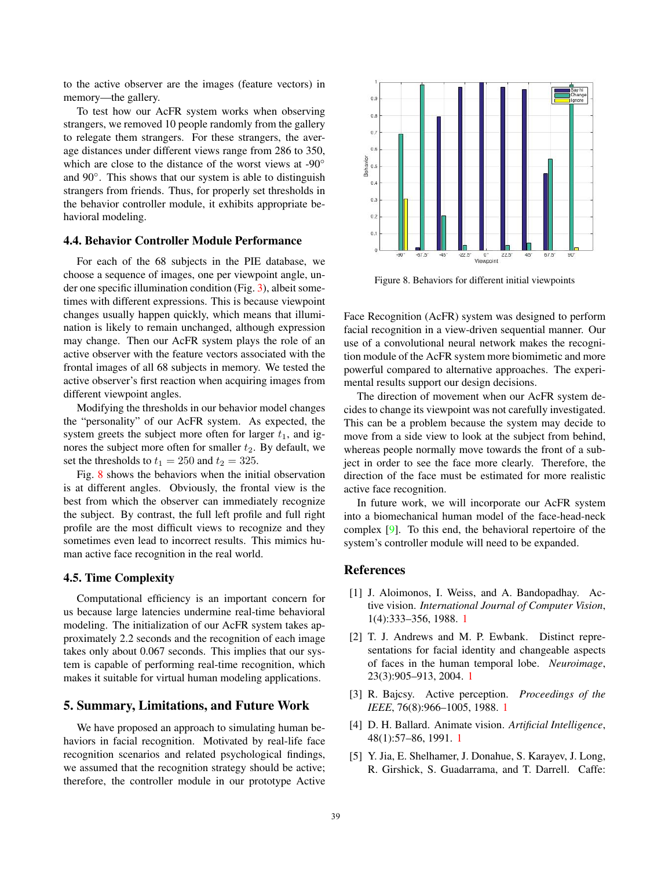to the active observer are the images (feature vectors) in memory—the gallery.

To test how our AcFR system works when observing strangers, we removed 10 people randomly from the gallery to relegate them strangers. For these strangers, the average distances under different views range from 286 to 350, which are close to the distance of the worst views at -90° and 90°. This shows that our system is able to distinguish strangers from friends. Thus, for properly set thresholds in the behavior controller module, it exhibits appropriate behavioral modeling.

## 4.4. Behavior Controller Module Performance

For each of the 68 subjects in the PIE database, we choose a sequence of images, one per viewpoint angle, under one specific illumination condition (Fig. 3), albeit sometimes with different expressions. This is because viewpoint changes usually happen quickly, which means that illumination is likely to remain unchanged, although expression may change. Then our AcFR system plays the role of an active observer with the feature vectors associated with the frontal images of all 68 subjects in memory. We tested the active observer's first reaction when acquiring images from different viewpoint angles.

Modifying the thresholds in our behavior model changes the "personality" of our AcFR system. As expected, the system greets the subject more often for larger  $t_1$ , and ignores the subject more often for smaller  $t_2$ . By default, we set the thresholds to  $t_1 = 250$  and  $t_2 = 325$ .

Fig. 8 shows the behaviors when the initial observation is at different angles. Obviously, the frontal view is the best from which the observer can immediately recognize the subject. By contrast, the full left profile and full right profile are the most difficult views to recognize and they sometimes even lead to incorrect results. This mimics human active face recognition in the real world.

#### 4.5. Time Complexity

Computational efficiency is an important concern for us because large latencies undermine real-time behavioral modeling. The initialization of our AcFR system takes approximately 2.2 seconds and the recognition of each image takes only about 0.067 seconds. This implies that our system is capable of performing real-time recognition, which makes it suitable for virtual human modeling applications.

## 5. Summary, Limitations, and Future Work

We have proposed an approach to simulating human behaviors in facial recognition. Motivated by real-life face recognition scenarios and related psychological findings, we assumed that the recognition strategy should be active; therefore, the controller module in our prototype Active



Figure 8. Behaviors for different initial viewpoints

Face Recognition (AcFR) system was designed to perform facial recognition in a view-driven sequential manner. Our use of a convolutional neural network makes the recognition module of the AcFR system more biomimetic and more powerful compared to alternative approaches. The experimental results support our design decisions.

The direction of movement when our AcFR system decides to change its viewpoint was not carefully investigated. This can be a problem because the system may decide to move from a side view to look at the subject from behind, whereas people normally move towards the front of a subject in order to see the face more clearly. Therefore, the direction of the face must be estimated for more realistic active face recognition.

In future work, we will incorporate our AcFR system into a biomechanical human model of the face-head-neck complex [9]. To this end, the behavioral repertoire of the system's controller module will need to be expanded.

## **References**

- [1] J. Aloimonos, I. Weiss, and A. Bandopadhay. Active vision. *International Journal of Computer Vision*, 1(4):333–356, 1988. 1
- [2] T. J. Andrews and M. P. Ewbank. Distinct representations for facial identity and changeable aspects of faces in the human temporal lobe. *Neuroimage*, 23(3):905–913, 2004. 1
- [3] R. Bajcsy. Active perception. *Proceedings of the IEEE*, 76(8):966–1005, 1988. 1
- [4] D. H. Ballard. Animate vision. *Artificial Intelligence*, 48(1):57–86, 1991. 1
- [5] Y. Jia, E. Shelhamer, J. Donahue, S. Karayev, J. Long, R. Girshick, S. Guadarrama, and T. Darrell. Caffe: